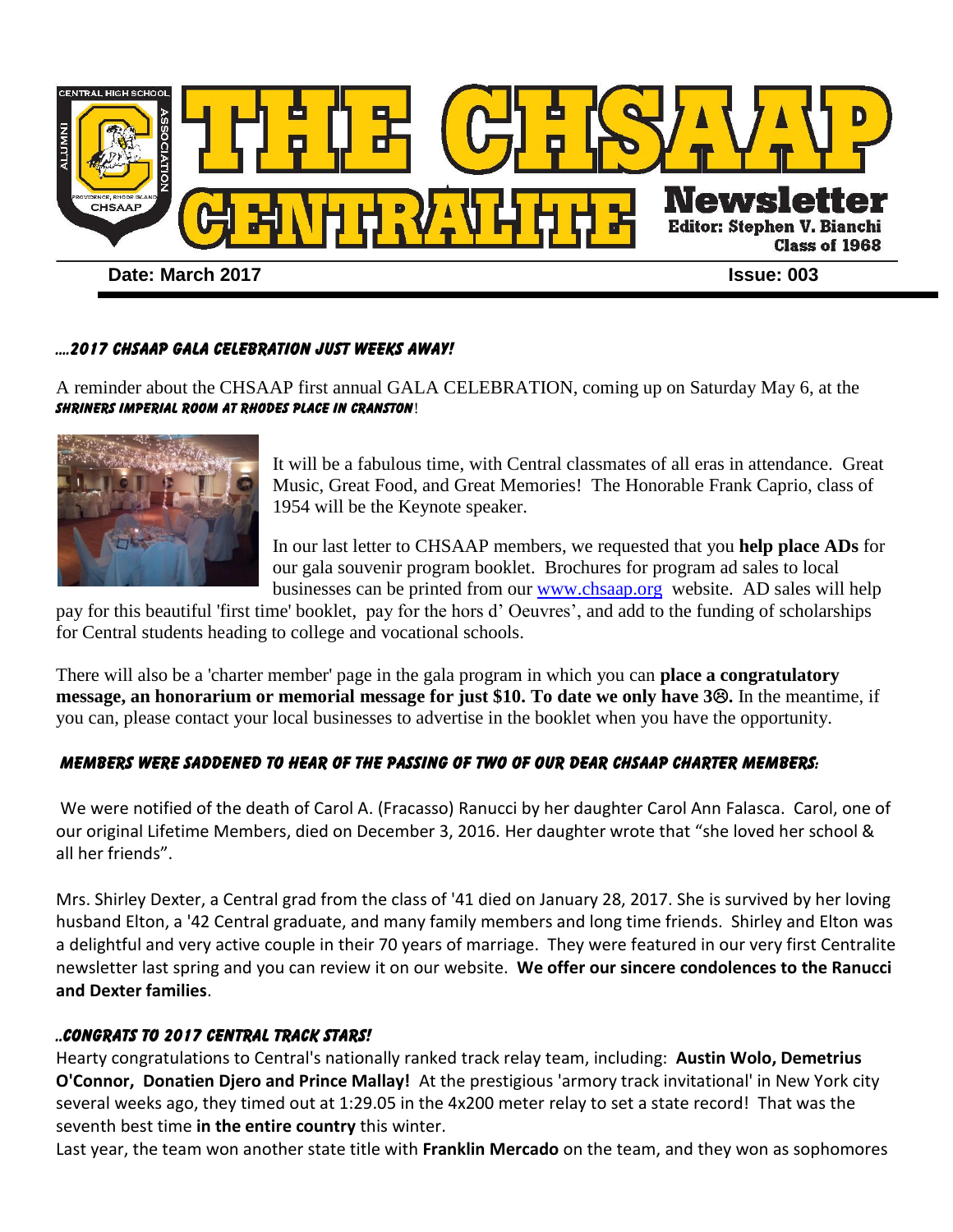

#### ....2017 CHSAAP GALA CELEBRATION JUST WEEKS AWAY!

A reminder about the CHSAAP first annual GALA CELEBRATION, coming up on Saturday May 6, at the Shriners Imperial Room at Rhodes Place in Cranston!



It will be a fabulous time, with Central classmates of all eras in attendance. Great Music, Great Food, and Great Memories! The Honorable Frank Caprio, class of 1954 will be the Keynote speaker.

In our last letter to CHSAAP members, we requested that you **help place ADs** for our gala souvenir program booklet. Brochures for program ad sales to local businesses can be printed from our [www.chsaap.org](http://www.chsaap.org/) website. AD sales will help

pay for this beautiful 'first time' booklet, pay for the hors d' Oeuvres', and add to the funding of scholarships for Central students heading to college and vocational schools.

There will also be a 'charter member' page in the gala program in which you can **place a congratulatory message, an honorarium or memorial message for just \$10. To date we only have 3.** In the meantime, if you can, please contact your local businesses to advertise in the booklet when you have the opportunity.

### Members were saddened to hear of the passing of two of our dear CHSAAP Charter Members:

We were notified of the death of Carol A. (Fracasso) Ranucci by her daughter Carol Ann Falasca. Carol, one of our original Lifetime Members, died on December 3, 2016. Her daughter wrote that "she loved her school & all her friends".

Mrs. Shirley Dexter, a Central grad from the class of '41 died on January 28, 2017. She is survived by her loving husband Elton, a '42 Central graduate, and many family members and long time friends. Shirley and Elton was a delightful and very active couple in their 70 years of marriage. They were featured in our very first Centralite newsletter last spring and you can review it on our website. **We offer our sincere condolences to the Ranucci and Dexter families**.

#### ..Congrats to 2017 central track stars!

Hearty congratulations to Central's nationally ranked track relay team, including: **Austin Wolo, Demetrius O'Connor, Donatien Djero and Prince Mallay!** At the prestigious 'armory track invitational' in New York city several weeks ago, they timed out at 1:29.05 in the 4x200 meter relay to set a state record! That was the seventh best time **in the entire country** this winter.

Last year, the team won another state title with **Franklin Mercado** on the team, and they won as sophomores